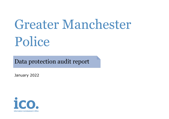# Greater Manchester Police

Data protection audit report

January 2022

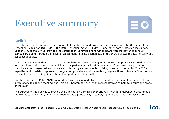## Executive summary



#### Audit Methodology

The Information Commissioner is responsible for enforcing and promoting compliance with the UK General Data Protection Regulation (UK GDPR), the Data Protection Act 2018 (DPA18) and other data protection legislation. Section 146 of the DPA18 provides the Information Commissioner's Office (ICO) with the power to conduct compulsory audits through the issue of assessment notices. Section 129 of the DPA18 allows the ICO to carry out consensual audits.

The ICO is an independent, proportionate regulator and sees auditing as a constructive process with real benefits for controllers and so aims to establish a participative approach. High standards of personal data protection compliance help organisations innovate and deliver great services by building trust with the public. The ICO's expertise and consistent approach to regulation provides certainty enabling organisations to feel confident to use personal data responsibly, innovate and support economic growth.

Greater Manchester Police (GMP) agreed to a consensual audit by the ICO of its processing of personal data. An introductory telephone meeting was held on 3 September 2021 with representatives of GMP to discuss the scope of the audit.

The purpose of the audit is to provide the Information Commissioner and GMP with an independent assurance of the extent to which GMP, within the scope of this agreed audit, is complying with data protection legislation.

Greater Manchester Police – Executive Summary ICO Data Protection Audit Report – January 2022 Page **2** of **11**

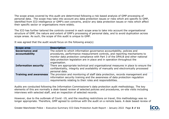The scope areas covered by this audit are determined following a risk based analysis of GMP processing of personal data. The scope may take into account any data protection issues or risks which are specific to GMP, identified from ICO intelligence or GMP's own concerns, and/or any data protection issues or risks which affect their specific sector or organisations more widely.

The ICO has further tailored the controls covered in each scope area to take into account the organisational structure of GMP, the nature and extent of GMP's processing of personal data, and to avoid duplication across scope areas. As such, the scope of this audit is unique to GMP.

It was agreed that the audit would focus on the following area(s)

| <b>Scope area</b>                       | <b>Description</b>                                                                                                                                                                                                                                                                                                                  |
|-----------------------------------------|-------------------------------------------------------------------------------------------------------------------------------------------------------------------------------------------------------------------------------------------------------------------------------------------------------------------------------------|
| <b>Governance and</b><br>accountability | The extent to which information governance accountability, policies and<br>procedures, performance measurement controls, and reporting mechanisms to<br>monitor data protection compliance with Part 3 of the DPA18 and other national<br>data protection legislation are in place and in operation throughout the<br>organisation. |
| <b>Information security</b>             | There are appropriate technical and organisational measures in place to ensure the<br>confidentiality, integrity and availability of manually and electronically processed<br>personal data.                                                                                                                                        |
| <b>Training and awareness</b>           | The provision and monitoring of staff data protection, records management and<br>information security training and the awareness of data protection regulation<br>requirements relating to their roles and responsibilities.                                                                                                        |

Audits are conducted following the Information Commissioner's data protection audit methodology. The key elements of this are normally a desk-based review of selected policies and procedures, on-site visits including interviews with selected staff, and an inspection of selected records.

However, due to the outbreak of Covid -19, and the resulting restrictions on travel, this methodology was no longer appropriate. Therefore, GMP agreed to continue with the audit on a remote basis. A desk based review of

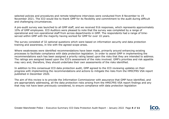selected policies and procedures and remote telephone interviews were conducted from 8 November to 19 November 2021. The ICO would like to thank GMP for its flexibility and commitment to the audit during difficult and challenging circumstances.

A pre-audit survey was launched to all GMP staff, and we received 916 responses, which represents approximately 10% of GMP employees. ICO Auditors were pleased to note that the survey was completed by a range of operational and non-operational staff from across departments in GMP. The respondents had a range of timeserved within GMP with the majority having worked for GMP for over 10 years.

The survey consisted of 32 optional questions which were based on information security and data protection training and awareness, in line with the agreed scope areas.

Where weaknesses were identified recommendations have been made, primarily around enhancing existing processes to facilitate compliance with data protection legislation. In order to assist GMP in implementing the recommendations each has been assigned a priority rating based upon the risks that they are intended to address. The ratings are assigned based upon the ICO's assessment of the risks involved. GMP's priorities and risk appetite may vary and, therefore, they should undertake their own assessments of the risks identified.

In addition to this consensual ICO data protection audit, GMP agreed to the ICO reviewing updates on their progress with implementing the recommendations and actions to mitigate the risks from the HMICFRS VSA report published in December 2020.

The aim of this review is to provide the Information Commissioner with assurance that GMP have identified, and are appropriately addressing, all the data protection risks arising from the HMICFRS VSA report findings and any that may not have been previously considered, to ensure compliance with data protection legislation

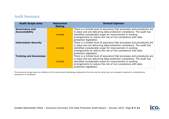#### Audit Summary

| <b>Audit Scope area</b>                 | <b>Assurance</b><br>Rating | <b>Overall Opinion</b>                                                                                                                                                                                                                                                                                  |
|-----------------------------------------|----------------------------|---------------------------------------------------------------------------------------------------------------------------------------------------------------------------------------------------------------------------------------------------------------------------------------------------------|
| Governance and<br><b>Accountability</b> | Limited                    | There is a limited level of assurance that processes and procedures are<br>in place and are delivering data protection compliance. The audit has<br>identified considerable scope for improvement in existing<br>arrangements to reduce the risk of non-compliance with data<br>protection legislation. |
| <b>Information Security</b>             | Limited                    | There is a limited level of assurance that processes and procedures are<br>in place and are delivering data protection compliance. The audit has<br>identified considerable scope for improvement in existing<br>arrangements to reduce the risk of non-compliance with data<br>protection legislation. |
| <b>Training and Awareness</b>           | Limited                    | There is a limited level of assurance that processes and procedures are<br>in place and are delivering data protection compliance. The audit has<br>identified considerable scope for improvement in existing<br>arrangements to reduce the risk of non-compliance with data<br>protection legislation. |

The assurance ratings above are reflective of the remote audit methodology deployed at this time and the rating may not necessarily represent a comprehensive assessment of compliance.

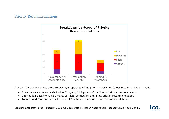#### Priority Recommendations



The bar chart above shows a breakdown by scope area of the priorities assigned to our recommendations made:

- Governance and Accountability has 7 urgent, 24 high and 6 medium priority recommendations
- Information Security has 5 urgent, 25 high, 20 medium and 2 low priority recommendations
- Training and Awareness has 4 urgent, 12 high and 5 medium priority recommendations

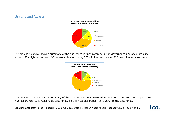### Graphs and Charts



The pie charts above show a summary of the assurance ratings awarded in the governance and accountability scope. 12% high assurance, 16% reasonable assurance, 36% limited assurance, 36% very limited assurance.



The pie chart above shows a summary of the assurance ratings awarded in the information security scope. 10% high assurance, 12% reasonable assurance, 62% limited assurance, 16% very limited assurance.

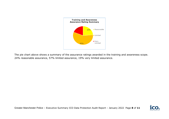

The pie chart above shows a summary of the assurance ratings awarded in the training and awareness scope. 24% reasonable assurance, 57% limited assurance, 19% very limited assurance.

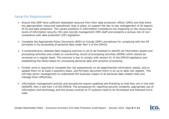#### Areas for Improvement

- Ensure that GMP have sufficient dedicated resource from their data protection officer (DPO) and that there are appropriately resourced operational roles in place, to support the day to day management of all aspects of IG and data protection. The vacant positions in Information Compliance are impacting on the resourcing levels of information security (IS) and records management (RM) staff and presents a serious risk of noncompliance with data protection (DP) legislation.
- Complete the Appropriate Policy Document (APD) to include GMP's procedures for complying with the DP principles in its processing of personal data under Part 3 of the DPA18.
- A comprehensive, detailed data mapping exercise is yet to be finalised to identify all information assets and processing activities and create an overarching record of processing activities (ROPA) which should be reviewed on a regular basis. The exercise is key to comply with section 61 of the DPA18 legislation and establishing the lawful bases for processing personal data and sensitive processing.
- Further work is required to complete the risk assessments on all departmental information assets, and to update them on at least a quarterly basis, and formally document them in an up to date risk register. This will help senior management to understand the business impact of all personal data related risks and manage them effectively.
- Information management policies and procedures require updating and finalising so that they are in line with UKGDPR, Part 2 and Part 3 of the DPA18. The procedures for reporting security incidents, appropriate use of information and technology and the access controls to IT systems need to be formalised and followed Force wide.

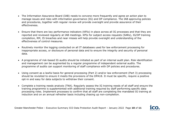- The Information Assurance Board (IAB) needs to convene more frequently and agree an action plan to manage issues and risks with information governance (IG) and DP compliance. The IAB approving policies and procedures, together with regular review will provide oversight and provide assurance of their effectiveness.
- Ensure that there are key performance indicators (KPIs) in place across all IG processes and that they are reported and reviewed regularly at IAB meetings. KPIs for subject access requests (SARs), IG/DP training completion, RM, IS breaches and near misses will help provide oversight and understanding of the effectiveness of control measures.
- Routinely monitor the logging conducted on all IT databases used for law enforcement processing for inappropriate access, or disclosure of personal data and to ensure the integrity and security of personal data.
- A programme of risk-based IG audits should be initiated as part of an internal audit plan. Risk identification and management can be augmented by a regular programme of independent external audits. The programme of audits can support monitoring of staff compliance with DP policies and procedures.
- Using consent as a lawful basis for general processing (Part 2) and/or law enforcement (Part 3) processing should be revisited to ensure it meets the provisions of the DPA18. It must be specific, require a positive opt-in and easy for data subjects to withdraw their consent.
- Complete a training needs analysis (TNA). Regularly assess the IG training needs of all staff and ensure the training programme is supplemented with additional training required by staff performing specific data processing roles. Implement processes to confirm that all staff are completing the mandated IG training at induction and on an annual refresher basis including chasing up non-completion.